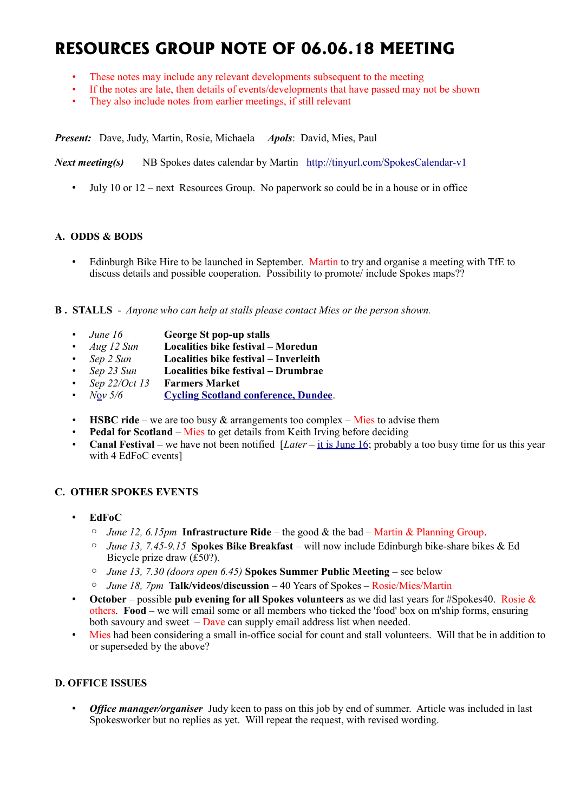# **RESOURCES GROUP NOTE OF 06.06.18 MEETING**

- These notes may include any relevant developments subsequent to the meeting
- If the notes are late, then details of events/developments that have passed may not be shown
- They also include notes from earlier meetings, if still relevant

*Present:* Dave, Judy, Martin, Rosie, Michaela *Apols*: David, Mies, Paul

*Next meeting(s)* NB Spokes dates calendar by Martin <http://tinyurl.com/SpokesCalendar-v1>

• July 10 or 12 – next Resources Group. No paperwork so could be in a house or in office

#### **A. ODDS & BODS**

• Edinburgh Bike Hire to be launched in September. Martin to try and organise a meeting with TfE to discuss details and possible cooperation. Possibility to promote/ include Spokes maps??

**B . STALLS** - *Anyone who can help at stalls please contact Mies or the person shown.*

- *June 16* **George St pop-up stalls**
- *Aug 12 Sun* **Localities bike festival Moredun**
- *Sep 2 Sun* **Localities bike festival Inverleith**
- *Sep 23 Sun* **Localities bike festival Drumbrae**
- *Sep 22/Oct 13* **Farmers Market**
- *N*[o](https://www.pathsforall.org.uk/pfa/get-involved/scotlands-national-active-travel-conference.html)*v 5/6* **[Cycling Scotland conference, Dundee](http://mailchi.mp/cycling/early-bird-discount-ends-today-monday-2nd-october-2036965?e=df4f9c501f)**.
- **HSBC ride** we are too busy & arrangements too complex Mies to advise them
- **Pedal for Scotland** Mies to get details from Keith Irving before deciding
- **Canal Festival** we have not been notified [*Later* – [it is June 16;](http://www.edinburghcanalfestival.org.uk/) probably a too busy time for us this year with 4 EdFoC events]

# **C. OTHER SPOKES EVENTS**

- **EdFoC** 
	- *June 12, 6.15pm* **Infrastructure Ride** the good & the bad Martin & Planning Group.
	- *June 13, 7.45-9.15* **Spokes Bike Breakfast** will now include Edinburgh bike-share bikes & Ed Bicycle prize draw (£50?).
	- *June 13, 7.30 (doors open 6.45)* **Spokes Summer Public Meeting** see below
	- *June 18, 7pm* **Talk/videos/discussion** 40 Years of Spokes Rosie/Mies/Martin
- **October** possible **pub evening for all Spokes volunteers** as we did last years for #Spokes40. Rosie & others. **Food** – we will email some or all members who ticked the 'food' box on m'ship forms, ensuring both savoury and sweet  $-\sqrt{D}$  ave can supply email address list when needed.
- Mies had been considering a small in-office social for count and stall volunteers. Will that be in addition to or superseded by the above?

# **D. OFFICE ISSUES**

• *Office manager/organiser* Judy keen to pass on this job by end of summer. Article was included in last Spokesworker but no replies as yet. Will repeat the request, with revised wording.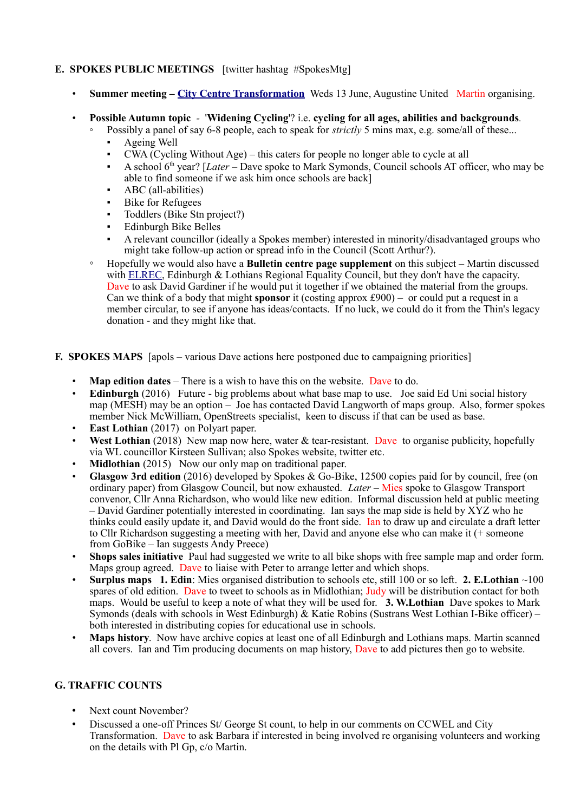# **E. SPOKES PUBLIC MEETINGS** [twitter hashtag #SpokesMtg]

- **Summer meeting – [City Centre Transformation](http://www.spokes.org.uk/2017/11/transforming-picardy-leith-st-and-the-city-centre/)** Weds 13 June, Augustine United Martin organising.
- **Possible Autumn topic** '**Widening Cycling**'? i.e. **cycling for all ages, abilities and backgrounds***.*
	- Possibly a panel of say 6-8 people, each to speak for *strictly* 5 mins max, e.g. some/all of these...
	- Ageing Well
	- $CWA$  (Cycling Without Age) this caters for people no longer able to cycle at all
	- A school 6th year? [*Later* Dave spoke to Mark Symonds, Council schools AT officer, who may be able to find someone if we ask him once schools are back]
	- ABC (all-abilities)
	- **Bike for Refugees**
	- Toddlers (Bike Stn project?)
	- **Edinburgh Bike Belles**
	- A relevant councillor (ideally a Spokes member) interested in minority/disadvantaged groups who might take follow-up action or spread info in the Council (Scott Arthur?).
	- Hopefully we would also have a **Bulletin centre page supplement** on this subject Martin discussed with [ELREC,](http://www.elrec.org.uk/) Edinburgh & Lothians Regional Equality Council, but they don't have the capacity. Dave to ask David Gardiner if he would put it together if we obtained the material from the groups. Can we think of a body that might **sponsor** it (costing approx £900) – or could put a request in a member circular, to see if anyone has ideas/contacts. If no luck, we could do it from the Thin's legacy donation - and they might like that.
- **F. SPOKES MAPS** [apols various Dave actions here postponed due to campaigning priorities]
	- **Map edition dates** There is a wish to have this on the website. Dave to do.
	- **Edinburgh** (2016) Future big problems about what base map to use. Joe said Ed Uni social history map (MESH) may be an option – Joe has contacted David Langworth of maps group. Also, former spokes member Nick McWilliam, OpenStreets specialist, keen to discuss if that can be used as base.
	- **East Lothian** (2017) on Polyart paper.
	- **West Lothian** (2018) New map now here, water & tear-resistant. Dave to organise publicity, hopefully via WL councillor Kirsteen Sullivan; also Spokes website, twitter etc.
	- **Midlothian** (2015) Now our only map on traditional paper.
	- **Glasgow 3rd edition** (2016) developed by Spokes & Go-Bike, 12500 copies paid for by council, free (on ordinary paper) from Glasgow Council, but now exhausted. *Later* – Mies spoke to Glasgow Transport convenor, Cllr Anna Richardson, who would like new edition. Informal discussion held at public meeting – David Gardiner potentially interested in coordinating. Ian says the map side is held by  $\overline{XYZ}$  who he thinks could easily update it, and David would do the front side. Ian to draw up and circulate a draft letter to Cllr Richardson suggesting a meeting with her, David and anyone else who can make it (+ someone from GoBike – Ian suggests Andy Preece)
	- **Shops sales initiative** Paul had suggested we write to all bike shops with free sample map and order form. Maps group agreed. Dave to liaise with Peter to arrange letter and which shops.
	- **Surplus maps 1. Edin**: Mies organised distribution to schools etc, still 100 or so left. **2. E.Lothian** ~100 spares of old edition. Dave to tweet to schools as in Midlothian; Judy will be distribution contact for both maps. Would be useful to keep a note of what they will be used for. **3. W.Lothian** Dave spokes to Mark Symonds (deals with schools in West Edinburgh) & Katie Robins (Sustrans West Lothian I-Bike officer) – both interested in distributing copies for educational use in schools.
	- **Maps history**. Now have archive copies at least one of all Edinburgh and Lothians maps. Martin scanned all covers. Ian and Tim producing documents on map history, Dave to add pictures then go to website.

# **G. TRAFFIC COUNTS**

- Next count November?
- Discussed a one-off Princes St/ George St count, to help in our comments on CCWEL and City Transformation. Dave to ask Barbara if interested in being involved re organising volunteers and working on the details with Pl Gp, c/o Martin.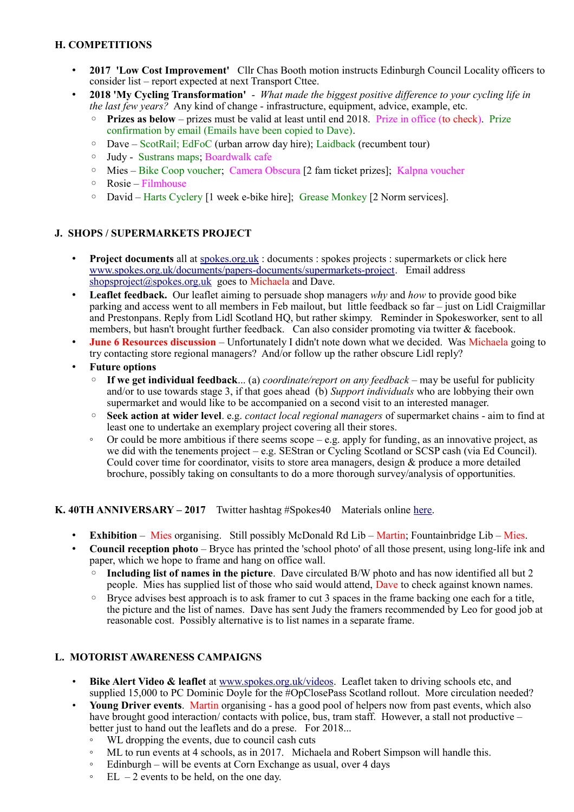# **H. COMPETITIONS**

- **2017 'Low Cost Improvement'** Cllr Chas Booth motion instructs Edinburgh Council Locality officers to consider list – report expected at next Transport Cttee.
- **2018 'My Cycling Transformation'**  *What made the biggest positive difference to your cycling life in the last few years?* Any kind of change - infrastructure, equipment, advice, example, etc.
	- **Prizes as below** prizes must be valid at least until end 2018. Prize in office (to check). Prize confirmation by email (Emails have been copied to Dave).
	- Dave ScotRail; EdFoC (urban arrow day hire); Laidback (recumbent tour)
	- Judy Sustrans maps; Boardwalk cafe
	- Mies Bike Coop voucher; Camera Obscura [2 fam ticket prizes]; Kalpna voucher
	- Rosie Filmhouse
	- David Harts Cyclery [1 week e-bike hire]; Grease Monkey [2 Norm services].

# **J. SHOPS / SUPERMARKETS PROJECT**

- **Project documents** all at [spokes.org.uk](http://spokes.org.uk/) : documents : spokes projects : supermarkets or click here [www.spokes.org.uk/documents/papers-documents/supermarkets-project.](http://www.spokes.org.uk/documents/papers-documents/supermarkets-project) Email address [shopsproject@spokes.org.uk](mailto:shopsproject@spokes.org.uk) goes to Michaela and Dave.
- **Leaflet feedback.** Our leaflet aiming to persuade shop managers *why* and *how* to provide good bike parking and access went to all members in Feb mailout, but little feedback so far – just on Lidl Craigmillar and Prestonpans. Reply from Lidl Scotland HQ, but rather skimpy. Reminder in Spokesworker, sent to all members, but hasn't brought further feedback. Can also consider promoting via twitter & facebook.
- **June 6 Resources discussion** Unfortunately I didn't note down what we decided. Was Michaela going to try contacting store regional managers? And/or follow up the rather obscure Lidl reply?
- **Future options**
	- **If we get individual feedback**... (a) *coordinate/report on any feedback* may be useful for publicity and/or to use towards stage 3, if that goes ahead (b) *Support individuals* who are lobbying their own supermarket and would like to be accompanied on a second visit to an interested manager.
	- **Seek action at wider level**. e.g. *contact local regional managers* of supermarket chains aim to find at least one to undertake an exemplary project covering all their stores.
	- Or could be more ambitious if there seems scope e.g. apply for funding, as an innovative project, as we did with the tenements project – e.g. SEStran or Cycling Scotland or SCSP cash (via Ed Council). Could cover time for coordinator, visits to store area managers, design & produce a more detailed brochure, possibly taking on consultants to do a more thorough survey/analysis of opportunities.

#### **K. 40TH ANNIVERSARY – 2017** Twitter hashtag #Spokes40 Materials online [here.](http://www.spokes.org.uk/documents/odds-and-ends-may-be-exciting/spokes-history/)

- **Exhibition** Mies organising. Still possibly McDonald Rd Lib Martin; Fountainbridge Lib Mies.
- **Council reception photo** Bryce has printed the 'school photo' of all those present, using long-life ink and paper, which we hope to frame and hang on office wall.
	- **Including list of names in the picture**. Dave circulated B/W photo and has now identified all but 2 people. Mies has supplied list of those who said would attend, Dave to check against known names.
	- Bryce advises best approach is to ask framer to cut 3 spaces in the frame backing one each for a title, the picture and the list of names. Dave has sent Judy the framers recommended by Leo for good job at reasonable cost. Possibly alternative is to list names in a separate frame.

# **L. MOTORIST AWARENESS CAMPAIGNS**

- **Bike Alert Video & leaflet** at [www.spokes.org.uk/videos.](http://www.spokes.org.uk/videos) Leaflet taken to driving schools etc, and supplied 15,000 to PC Dominic Doyle for the #OpClosePass Scotland rollout. More circulation needed?
- **Young Driver events**. Martin organising has a good pool of helpers now from past events, which also have brought good interaction/ contacts with police, bus, tram staff. However, a stall not productive – better just to hand out the leaflets and do a prese. For 2018...
	- WL dropping the events, due to council cash cuts
	- ML to run events at 4 schools, as in 2017. Michaela and Robert Simpson will handle this.
	- Edinburgh will be events at Corn Exchange as usual, over 4 days
	- $\degree$  EL 2 events to be held, on the one day.